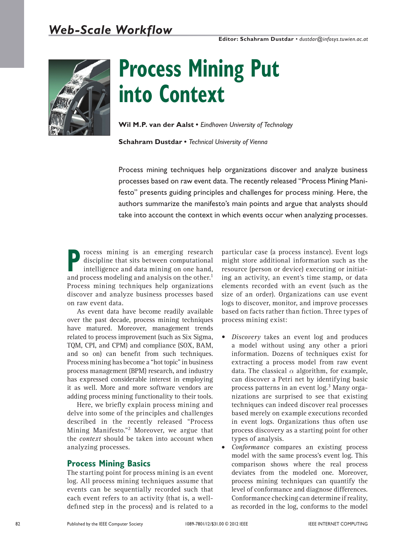

# **Process Mining Put into Context**

**Wil M.P. van der Aalst •** *Eindhoven University of Technology*

**Schahram Dustdar •** *Technical University of Vienna*

Process mining techniques help organizations discover and analyze business processes based on raw event data. The recently released "Process Mining Manifesto" presents guiding principles and challenges for process mining. Here, the authors summarize the manifesto's main points and argue that analysts should take into account the context in which events occur when analyzing processes.

**P**rocess mining is an emerging research discipline that sits between computational intelligence and data mining on one hand, discipline that sits between computational and process modeling and analysis on the other.<sup>1</sup> Process mining techniques help organizations discover and analyze business processes based on raw event data.

As event data have become readily available over the past decade, process mining techniques have matured. Moreover, management trends related to process improvement (such as Six Sigma, TQM, CPI, and CPM) and compliance (SOX, BAM, and so on) can benefit from such techniques. Process mining has become a "hot topic" in business process management (BPM) research, and industry has expressed considerable interest in employing it as well. More and more software vendors are adding process mining functionality to their tools.

Here, we briefly explain process mining and delve into some of the principles and challenges described in the recently released "Process Mining Manifesto."2 Moreover, we argue that the *context* should be taken into account when analyzing processes.

# **Process Mining Basics**

The starting point for process mining is an event log. All process mining techniques assume that events can be sequentially recorded such that each event refers to an activity (that is, a welldefined step in the process) and is related to a

particular case (a process instance). Event logs might store additional information such as the resource (person or device) executing or initiating an activity, an event's time stamp, or data elements recorded with an event (such as the size of an order). Organizations can use event logs to discover, monitor, and improve processes based on facts rather than fiction. Three types of process mining exist:

- *Discovery* takes an event log and produces a model without using any other a priori information. Dozens of techniques exist for extracting a process model from raw event data. The classical *α* algorithm, for example, can discover a Petri net by identifying basic process patterns in an event log.3 Many organizations are surprised to see that existing techniques can indeed discover real processes based merely on example executions recorded in event logs. Organizations thus often use process discovery as a starting point for other types of analysis.
- • *Conformance* compares an existing process model with the same process's event log. This comparison shows where the real process deviates from the modeled one. Moreover, process mining techniques can quantify the level of conformance and diagnose differences. Conformance checking can determine if reality, as recorded in the log, conforms to the model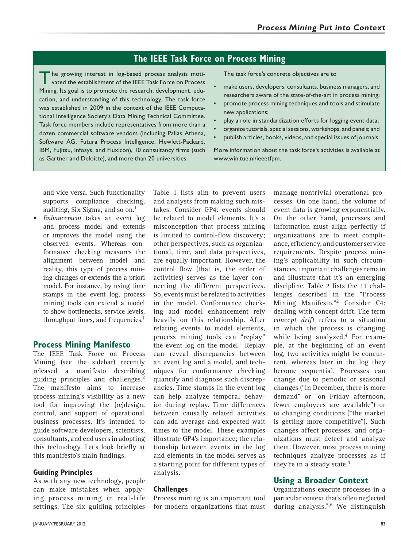# **The IEEE Task Force on Process Mining**

he growing interest in log-based process analysis motivated the establishment of the IEEE Task Force on Process Mining. Its goal is to promote the research, development, education, and understanding of this technology. The task force was established in 2009 in the context of the IEEE Computational Intelligence Society's Data Mining Technical Committee. Task force members include representatives from more than a dozen commercial software vendors (including Pallas Athena, Software AG, Futura Process Intelligence, Hewlett-Packard, IBM, Fujitsu, Infosys, and Fluxicon), 10 consultancy firms (such as Gartner and Deloitte), and more than 20 universities.

The task force's concrete objectives are to

- make users, developers, consultants, business managers, and researchers aware of the state-of-the-art in process mining;
- promote process mining techniques and tools and stimulate new applications;
- play a role in standardization efforts for logging event data;
- organize tutorials, special sessions, workshops, and panels; and
- publish articles, books, videos, and special issues of journals.

More information about the task force's activities is available at www.win.tue.nl/ieeetfpm.

and vice versa. Such functionality supports compliance checking, auditing, Six Sigma, and so  $\text{on}$ <sup>1</sup>

*Enhancement* takes an event log and process model and extends or improves the model using the observed events. Whereas conformance checking measures the alignment between model and reality, this type of process mining changes or extends the a priori model. For instance, by using time stamps in the event log, process mining tools can extend a model to show bottlenecks, service levels, throughput times, and frequencies.<sup>1</sup>

# **Process Mining Manifesto**

The IEEE Task Force on Process Mining (see the sidebar) recently released a manifesto describing guiding principles and challenges.2 The manifesto aims to increase process mining's visibility as a new tool for improving the (re)design, control, and support of operational business processes. It's intended to guide software developers, scientists, consultants, and end users in adopting this technology. Let's look briefly at this manifesto's main findings.

# **Guiding Principles**

As with any new technology, people can make mistakes when applying process mining in real-life settings. The six guiding principles Table 1 lists aim to prevent users and analysts from making such mistakes. Consider GP4: events should be related to model elements. It's a misconception that process mining is limited to control-flow discovery; other perspectives, such as organizational, time, and data perspectives, are equally important. However, the control flow (that is, the order of activities) serves as the layer connecting the different perspectives. So, events must be related to activities in the model. Conformance checking and model enhancement rely heavily on this relationship. After relating events to model elements, process mining tools can "replay" the event log on the model.<sup>1</sup> Replay can reveal discrepancies between an event log and a model, and techniques for conformance checking quantify and diagnose such discrepancies. Time stamps in the event log can help analyze temporal behavior during replay. Time differences between causally related activities can add average and expected wait times to the model. These examples illustrate GP4's importance; the relationship between events in the log and elements in the model serves as a starting point for different types of analysis.

#### **Challenges**

Process mining is an important tool for modern organizations that must

manage nontrivial operational processes. On one hand, the volume of event data is growing exponentially. On the other hand, processes and information must align perfectly if organizations are to meet compliance, efficiency, and customer service requirements. Despite process mining's applicability in such circumstances, important challenges remain and illustrate that it's an emerging discipline. Table 2 lists the 11 challenges described in the "Process Mining Manifesto."2 Consider C4: dealing with concept drift. The term *concept drift* refers to a situation in which the process is changing while being analyzed.<sup>4</sup> For example, at the beginning of an event log, two activities might be concurrent, whereas later in the log they become sequential. Processes can change due to periodic or seasonal changes ("in December, there is more demand" or "on Friday afternoon, fewer employees are available") or to changing conditions ("the market is getting more competitive"). Such changes affect processes, and organizations must detect and analyze them. However, most process mining techniques analyze processes as if they're in a steady state.<sup>4</sup>

# **Using a Broader Context**

Organizations execute processes in a particular context that's often neglected during analysis.<sup>5,6</sup> We distinguish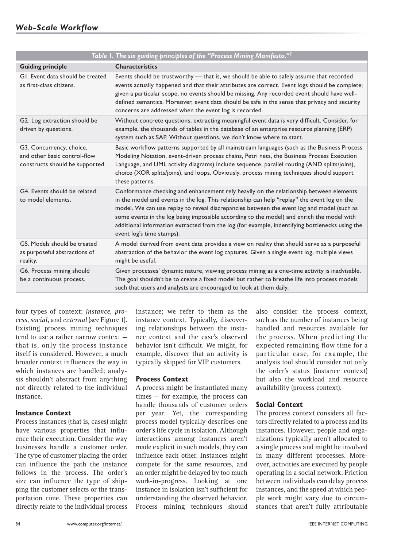| Table 1. The six guiding principles of the "Process Mining Manifesto." <sup>2</sup>         |                                                                                                                                                                                                                                                                                                                                                                                                                                                                                                                 |  |
|---------------------------------------------------------------------------------------------|-----------------------------------------------------------------------------------------------------------------------------------------------------------------------------------------------------------------------------------------------------------------------------------------------------------------------------------------------------------------------------------------------------------------------------------------------------------------------------------------------------------------|--|
| <b>Guiding principle</b>                                                                    | <b>Characteristics</b>                                                                                                                                                                                                                                                                                                                                                                                                                                                                                          |  |
| GI. Event data should be treated<br>as first-class citizens.                                | Events should be trustworthy - that is, we should be able to safely assume that recorded<br>events actually happened and that their attributes are correct. Event logs should be complete;<br>given a particular scope, no events should be missing. Any recorded event should have well-<br>defined semantics. Moreover, event data should be safe in the sense that privacy and security<br>concerns are addressed when the event log is recorded.                                                            |  |
| G2. Log extraction should be<br>driven by questions.                                        | Without concrete questions, extracting meaningful event data is very difficult. Consider, for<br>example, the thousands of tables in the database of an enterprise resource planning (ERP)<br>system such as SAP. Without questions, we don't know where to start.                                                                                                                                                                                                                                              |  |
| G3. Concurrency, choice,<br>and other basic control-flow<br>constructs should be supported. | Basic workflow patterns supported by all mainstream languages (such as the Business Process<br>Modeling Notation, event-driven process chains, Petri nets, the Business Process Execution<br>Language, and UML activity diagrams) include sequence, parallel routing (AND splits/joins),<br>choice (XOR splits/joins), and loops. Obviously, process mining techniques should support<br>these patterns.                                                                                                        |  |
| G4. Events should be related<br>to model elements.                                          | Conformance checking and enhancement rely heavily on the relationship between elements<br>in the model and events in the log. This relationship can help "replay" the event log on the<br>model. We can use replay to reveal discrepancies between the event log and model (such as<br>some events in the log being impossible according to the model) and enrich the model with<br>additional information extracted from the log (for example, indentifying bottlenecks using the<br>event log's time stamps). |  |
| G5. Models should be treated<br>as purposeful abstractions of<br>reality.                   | A model derived from event data provides a view on reality that should serve as a purposeful<br>abstraction of the behavior the event log captures. Given a single event log, multiple views<br>might be useful.                                                                                                                                                                                                                                                                                                |  |
| G6. Process mining should<br>be a continuous process.                                       | Given processes' dynamic nature, viewing process mining as a one-time activity is inadvisable.<br>The goal shouldn't be to create a fixed model but rather to breathe life into process models<br>such that users and analysts are encouraged to look at them daily.                                                                                                                                                                                                                                            |  |

four types of context: *instance*, *process*, *social*, and *external* (see Figure 1). Existing process mining techniques tend to use a rather narrow context that is, only the process instance itself is considered. However, a much broader context influences the way in which instances are handled; analysis shouldn't abstract from anything not directly related to the individual instance.

#### **Instance Context**

Process instances (that is, cases) might have various properties that influence their execution. Consider the way businesses handle a customer order. The type of customer placing the order can influence the path the instance follows in the process. The order's size can influence the type of shipping the customer selects or the transportation time. These properties can directly relate to the individual process instance; we refer to them as the instance context. Typically, discovering relationships between the instance context and the case's observed behavior isn't difficult. We might, for example, discover that an activity is typically skipped for VIP customers.

# **Process Context**

A process might be instantiated many times — for example, the process can handle thousands of customer orders per year. Yet, the corresponding process model typically describes one order's life cycle in isolation. Although interactions among instances aren't made explicit in such models, they can influence each other. Instances might compete for the same resources, and an order might be delayed by too much work-in-progress. Looking at one instance in isolation isn't sufficient for understanding the observed behavior. Process mining techniques should also consider the process context, such as the number of instances being handled and resources available for the process. When predicting the expected remaining flow time for a particular case, for example, the analysis tool should consider not only the order's status (instance context) but also the workload and resource availability (process context).

# **Social Context**

The process context considers all factors directly related to a process and its instances. However, people and organizations typically aren't allocated to a single process and might be involved in many different processes. Moreover, activities are executed by people operating in a social network. Friction between individuals can delay process instances, and the speed at which people work might vary due to circumstances that aren't fully attributable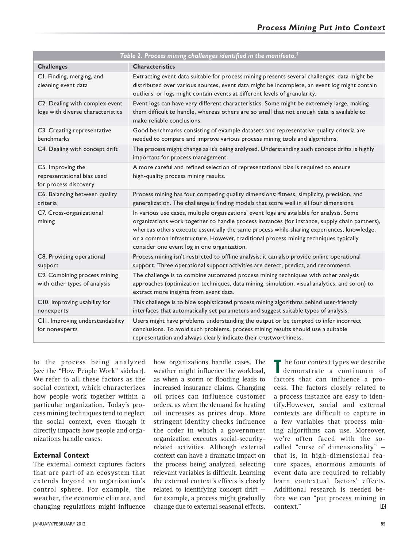| Table 2. Process mining challenges identified in the manifesto. <sup>2</sup> |                                                                                                                                                                                                                                                                                                                                                                                                                                 |  |
|------------------------------------------------------------------------------|---------------------------------------------------------------------------------------------------------------------------------------------------------------------------------------------------------------------------------------------------------------------------------------------------------------------------------------------------------------------------------------------------------------------------------|--|
| <b>Challenges</b>                                                            | <b>Characteristics</b>                                                                                                                                                                                                                                                                                                                                                                                                          |  |
| CI. Finding, merging, and<br>cleaning event data                             | Extracting event data suitable for process mining presents several challenges: data might be<br>distributed over various sources, event data might be incomplete, an event log might contain<br>outliers, or logs might contain events at different levels of granularity.                                                                                                                                                      |  |
| C2. Dealing with complex event<br>logs with diverse characteristics          | Event logs can have very different characteristics. Some might be extremely large, making<br>them difficult to handle, whereas others are so small that not enough data is available to<br>make reliable conclusions.                                                                                                                                                                                                           |  |
| C3. Creating representative<br>benchmarks                                    | Good benchmarks consisting of example datasets and representative quality criteria are<br>needed to compare and improve various process mining tools and algorithms.                                                                                                                                                                                                                                                            |  |
| C4. Dealing with concept drift                                               | The process might change as it's being analyzed. Understanding such concept drifts is highly<br>important for process management.                                                                                                                                                                                                                                                                                               |  |
| C5. Improving the<br>representational bias used<br>for process discovery     | A more careful and refined selection of representational bias is required to ensure<br>high-quality process mining results.                                                                                                                                                                                                                                                                                                     |  |
| C6. Balancing between quality<br>criteria                                    | Process mining has four competing quality dimensions: fitness, simplicity, precision, and<br>generalization. The challenge is finding models that score well in all four dimensions.                                                                                                                                                                                                                                            |  |
| C7. Cross-organizational<br>mining                                           | In various use cases, multiple organizations' event logs are available for analysis. Some<br>organizations work together to handle process instances (for instance, supply chain partners),<br>whereas others execute essentially the same process while sharing experiences, knowledge,<br>or a common infrastructure. However, traditional process mining techniques typically<br>consider one event log in one organization. |  |
| C8. Providing operational<br>support                                         | Process mining isn't restricted to offline analysis; it can also provide online operational<br>support. Three operational support activities are detect, predict, and recommend.                                                                                                                                                                                                                                                |  |
| C9. Combining process mining<br>with other types of analysis                 | The challenge is to combine automated process mining techniques with other analysis<br>approaches (optimization techniques, data mining, simulation, visual analytics, and so on) to<br>extract more insights from event data.                                                                                                                                                                                                  |  |
| C10. Improving usability for<br>nonexperts                                   | This challenge is to hide sophisticated process mining algorithms behind user-friendly<br>interfaces that automatically set parameters and suggest suitable types of analysis.                                                                                                                                                                                                                                                  |  |
| C11. Improving understandability<br>for nonexperts                           | Users might have problems understanding the output or be tempted to infer incorrect<br>conclusions. To avoid such problems, process mining results should use a suitable<br>representation and always clearly indicate their trustworthiness.                                                                                                                                                                                   |  |

(see the "How People Work" sidebar). We refer to all these factors as the social context, which characterizes how people work together within a particular organization. Today's process mining techniques tend to neglect the social context, even though it directly impacts how people and organizations handle cases.

to the process being analyzed

# **External Context**

The external context captures factors that are part of an ecosystem that extends beyond an organization's control sphere. For example, the weather, the economic climate, and changing regulations might influence how organizations handle cases. The weather might influence the workload, as when a storm or flooding leads to increased insurance claims. Changing oil prices can influence customer orders, as when the demand for heating oil increases as prices drop. More stringent identity checks influence the order in which a government organization executes social-securityrelated activities. Although external context can have a dramatic impact on the process being analyzed, selecting relevant variables is difficult. Learning the external context's effects is closely related to identifying concept drift for example, a process might gradually change due to external seasonal effects.

**T** he four context types we describe demonstrate a continuum of factors that can influence a process. The factors closely related to a process instance are easy to identify.However, social and external contexts are difficult to capture in a few variables that process mining algorithms can use. Moreover, we're often faced with the socalled "curse of dimensionality" that is, in high-dimensional feature spaces, enormous amounts of event data are required to reliably learn contextual factors' effects. Additional research is needed before we can "put process mining in context."  $\mathbb{R}$